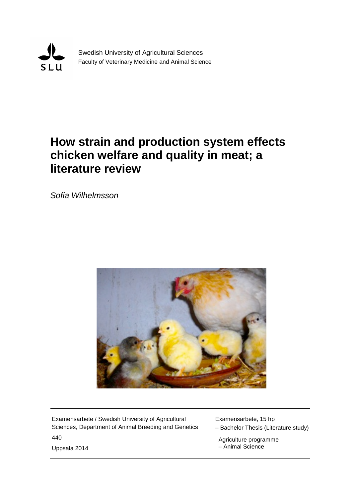

Swedish University of Agricultural Sciences Faculty of Veterinary Medicine and Animal Science

# **How strain and production system effects chicken welfare and quality in meat; a literature review**

*Sofia Wilhelmsson*



Examensarbete / Swedish University of Agricultural Sciences, Department of Animal Breeding and Genetics 440 Uppsala 2014

Examensarbete, 15 hp

– Bachelor Thesis (Literature study)

 Agriculture programme – Animal Science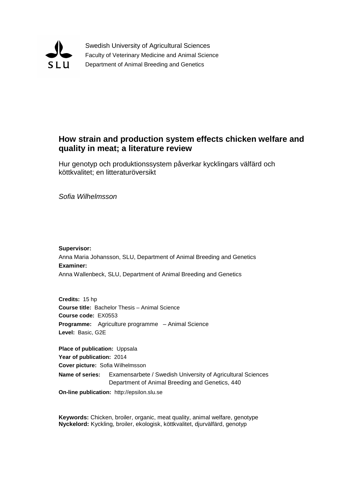

Swedish University of Agricultural Sciences Faculty of Veterinary Medicine and Animal Science Department of Animal Breeding and Genetics

## **How strain and production system effects chicken welfare and quality in meat; a literature review**

Hur genotyp och produktionssystem påverkar kycklingars välfärd och köttkvalitet; en litteraturöversikt

*Sofia Wilhelmsson*

**Supervisor:** Anna Maria Johansson, SLU, Department of Animal Breeding and Genetics **Examiner:** Anna Wallenbeck, SLU, Department of Animal Breeding and Genetics

**Credits:** 15 hp **Course title:** Bachelor Thesis – Animal Science **Course code:** EX0553 **Programme:** Agriculture programme – Animal Science **Level:** Basic, G2E

**Place of publication:** Uppsala **Year of publication:** 2014 **Cover picture:** Sofia Wilhelmsson **Name of series:** Examensarbete / Swedish University of Agricultural Sciences Department of Animal Breeding and Genetics, 440

**On-line publication:** http://epsilon.slu.se

**Keywords:** Chicken, broiler, organic, meat quality, animal welfare, genotype **Nyckelord:** Kyckling, broiler, ekologisk, köttkvalitet, djurvälfärd, genotyp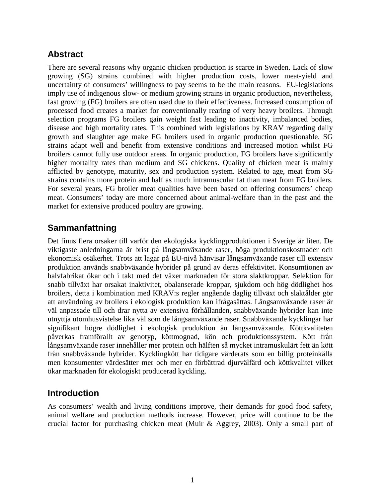# **Abstract**

There are several reasons why organic chicken production is scarce in Sweden. Lack of slow growing (SG) strains combined with higher production costs, lower meat-yield and uncertainty of consumers' willingness to pay seems to be the main reasons. EU-legislations imply use of indigenous slow- or medium growing strains in organic production, nevertheless, fast growing (FG) broilers are often used due to their effectiveness. Increased consumption of processed food creates a market for conventionally rearing of very heavy broilers. Through selection programs FG broilers gain weight fast leading to inactivity, imbalanced bodies, disease and high mortality rates. This combined with legislations by KRAV regarding daily growth and slaughter age make FG broilers used in organic production questionable. SG strains adapt well and benefit from extensive conditions and increased motion whilst FG broilers cannot fully use outdoor areas. In organic production, FG broilers have significantly higher mortality rates than medium and SG chickens. Quality of chicken meat is mainly afflicted by genotype, maturity, sex and production system. Related to age, meat from SG strains contains more protein and half as much intramuscular fat than meat from FG broilers. For several years, FG broiler meat qualities have been based on offering consumers' cheap meat. Consumers' today are more concerned about animal-welfare than in the past and the market for extensive produced poultry are growing.

# **Sammanfattning**

Det finns flera orsaker till varför den ekologiska kycklingproduktionen i Sverige är liten. De viktigaste anledningarna är brist på långsamväxande raser, höga produktionskostnader och ekonomisk osäkerhet. Trots att lagar på EU-nivå hänvisar långsamväxande raser till extensiv produktion används snabbväxande hybrider på grund av deras effektivitet. Konsumtionen av halvfabrikat ökar och i takt med det växer marknaden för stora slaktkroppar. Selektion för snabb tillväxt har orsakat inaktivitet, obalanserade kroppar, sjukdom och hög dödlighet hos broilers, detta i kombination med KRAV:s regler angående daglig tillväxt och slaktålder gör att användning av broilers i ekologisk produktion kan ifrågasättas. Långsamväxande raser är väl anpassade till och drar nytta av extensiva förhållanden, snabbväxande hybrider kan inte utnyttja utomhusvistelse lika väl som de långsamväxande raser. Snabbväxande kycklingar har signifikant högre dödlighet i ekologisk produktion än långsamväxande. Köttkvaliteten påverkas framförallt av genotyp, köttmognad, kön och produktionssystem. Kött från långsamväxande raser innehåller mer protein och hälften så mycket intramuskulärt fett än kött från snabbväxande hybrider. Kycklingkött har tidigare värderats som en billig proteinkälla men konsumenter värdesätter mer och mer en förbättrad djurvälfärd och köttkvalitet vilket ökar marknaden för ekologiskt producerad kyckling.

## **Introduction**

As consumers' wealth and living conditions improve, their demands for good food safety, animal welfare and production methods increase. However, price will continue to be the crucial factor for purchasing chicken meat (Muir & Aggrey, 2003). Only a small part of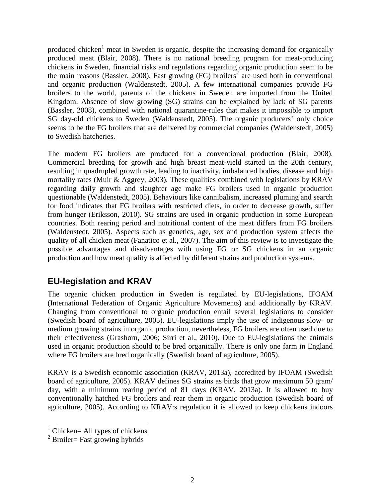produced chicken<sup>1</sup> meat in Sweden is organic, despite the increasing demand for organically produced meat (Blair, 2008). There is no national breeding program for meat-producing chickens in Sweden, financial risks and regulations regarding organic production seem to be the main reasons (Bassler, 2008). Fast growing (FG) broilers<sup>2</sup> are used both in conventional and organic production (Waldenstedt, 2005). A few international companies provide FG broilers to the world, parents of the chickens in Sweden are imported from the United Kingdom. Absence of slow growing (SG) strains can be explained by lack of SG parents (Bassler, 2008), combined with national quarantine-rules that makes it impossible to import SG day-old chickens to Sweden (Waldenstedt, 2005). The organic producers' only choice seems to be the FG broilers that are delivered by commercial companies (Waldenstedt, 2005) to Swedish hatcheries.

The modern FG broilers are produced for a conventional production (Blair, 2008). Commercial breeding for growth and high breast meat-yield started in the 20th century, resulting in quadrupled growth rate, leading to inactivity, imbalanced bodies, disease and high mortality rates (Muir & Aggrey, 2003). These qualities combined with legislations by KRAV regarding daily growth and slaughter age make FG broilers used in organic production questionable (Waldenstedt, 2005). Behaviours like cannibalism, increased pluming and search for food indicates that FG broilers with restricted diets, in order to decrease growth, suffer from hunger (Eriksson, 2010). SG strains are used in organic production in some European countries. Both rearing period and nutritional content of the meat differs from FG broilers (Waldenstedt, 2005). Aspects such as genetics, age, sex and production system affects the quality of all chicken meat (Fanatico et al., 2007). The aim of this review is to investigate the possible advantages and disadvantages with using FG or SG chickens in an organic production and how meat quality is affected by different strains and production systems.

# **EU-legislation and KRAV**

The organic chicken production in Sweden is regulated by EU-legislations, IFOAM (International Federation of Organic Agriculture Movements) and additionally by KRAV. Changing from conventional to organic production entail several legislations to consider (Swedish board of agriculture, 2005). EU-legislations imply the use of indigenous slow- or medium growing strains in organic production, nevertheless, FG broilers are often used due to their effectiveness (Grashorn, 2006; Sirri et al., 2010). Due to EU-legislations the animals used in organic production should to be bred organically. There is only one farm in England where FG broilers are bred organically (Swedish board of agriculture, 2005).

KRAV is a Swedish economic association (KRAV, 2013a), accredited by IFOAM (Swedish board of agriculture, 2005). KRAV defines SG strains as birds that grow maximum 50 gram/ day, with a minimum rearing period of 81 days (KRAV, 2013a). It is allowed to buy conventionally hatched FG broilers and rear them in organic production (Swedish board of agriculture, 2005). According to KRAV:s regulation it is allowed to keep chickens indoors

 $\overline{a}$ 

 $<sup>1</sup>$  Chicken= All types of chickens</sup>

 $2$  Broiler= Fast growing hybrids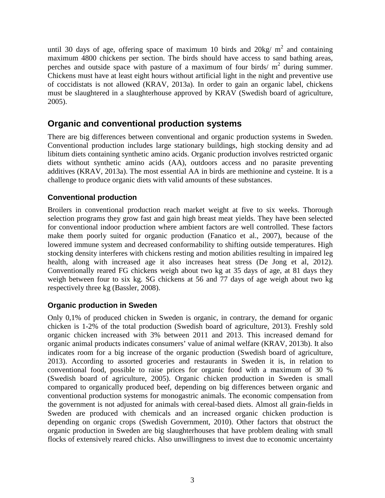until 30 days of age, offering space of maximum 10 birds and  $20\text{kg/m}^2$  and containing maximum 4800 chickens per section. The birds should have access to sand bathing areas, perches and outside space with pasture of a maximum of four birds/ $m<sup>2</sup>$  during summer. Chickens must have at least eight hours without artificial light in the night and preventive use of coccidistats is not allowed (KRAV, 2013a). In order to gain an organic label, chickens must be slaughtered in a slaughterhouse approved by KRAV (Swedish board of agriculture, 2005).

## **Organic and conventional production systems**

There are big differences between conventional and organic production systems in Sweden. Conventional production includes large stationary buildings, high stocking density and ad libitum diets containing synthetic amino acids. Organic production involves restricted organic diets without synthetic amino acids (AA), outdoors access and no parasite preventing additives (KRAV, 2013a). The most essential AA in birds are methionine and cysteine. It is a challenge to produce organic diets with valid amounts of these substances.

## **Conventional production**

Broilers in conventional production reach market weight at five to six weeks. Thorough selection programs they grow fast and gain high breast meat yields. They have been selected for conventional indoor production where ambient factors are well controlled. These factors make them poorly suited for organic production (Fanatico et al., 2007), because of the lowered immune system and decreased conformability to shifting outside temperatures. High stocking density interferes with chickens resting and motion abilities resulting in impaired leg health, along with increased age it also increases heat stress (De Jong et al, 2012). Conventionally reared FG chickens weigh about two kg at 35 days of age, at 81 days they weigh between four to six kg. SG chickens at 56 and 77 days of age weigh about two kg respectively three kg (Bassler, 2008).

#### **Organic production in Sweden**

Only 0,1% of produced chicken in Sweden is organic, in contrary, the demand for organic chicken is 1-2% of the total production (Swedish board of agriculture, 2013). Freshly sold organic chicken increased with 3% between 2011 and 2013. This increased demand for organic animal products indicates consumers' value of animal welfare (KRAV, 2013b). It also indicates room for a big increase of the organic production (Swedish board of agriculture, 2013). According to assorted groceries and restaurants in Sweden it is, in relation to conventional food, possible to raise prices for organic food with a maximum of 30 % (Swedish board of agriculture, 2005). Organic chicken production in Sweden is small compared to organically produced beef, depending on big differences between organic and conventional production systems for monogastric animals. The economic compensation from the government is not adjusted for animals with cereal-based diets. Almost all grain-fields in Sweden are produced with chemicals and an increased organic chicken production is depending on organic crops (Swedish Government, 2010). Other factors that obstruct the organic production in Sweden are big slaughterhouses that have problem dealing with small flocks of extensively reared chicks. Also unwillingness to invest due to economic uncertainty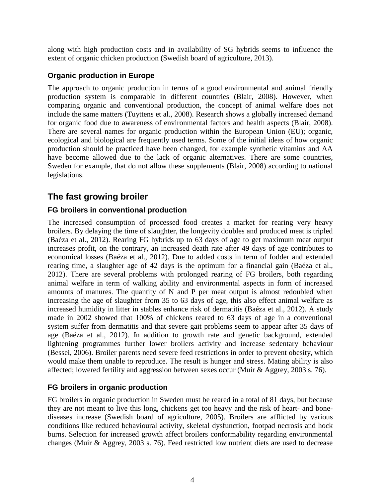along with high production costs and in availability of SG hybrids seems to influence the extent of organic chicken production (Swedish board of agriculture, 2013).

## **Organic production in Europe**

The approach to organic production in terms of a good environmental and animal friendly production system is comparable in different countries (Blair, 2008). However, when comparing organic and conventional production, the concept of animal welfare does not include the same matters (Tuyttens et al., 2008). Research shows a globally increased demand for organic food due to awareness of environmental factors and health aspects (Blair, 2008). There are several names for organic production within the European Union (EU); organic, ecological and biological are frequently used terms. Some of the initial ideas of how organic production should be practiced have been changed, for example synthetic vitamins and AA have become allowed due to the lack of organic alternatives. There are some countries, Sweden for example, that do not allow these supplements (Blair, 2008) according to national legislations.

# **The fast growing broiler**

## **FG broilers in conventional production**

The increased consumption of processed food creates a market for rearing very heavy broilers. By delaying the time of slaughter, the longevity doubles and produced meat is tripled (Baéza et al., 2012). Rearing FG hybrids up to 63 days of age to get maximum meat output increases profit, on the contrary, an increased death rate after 49 days of age contributes to economical losses (Baéza et al., 2012). Due to added costs in term of fodder and extended rearing time, a slaughter age of 42 days is the optimum for a financial gain (Baéza et al., 2012). There are several problems with prolonged rearing of FG broilers, both regarding animal welfare in term of walking ability and environmental aspects in form of increased amounts of manures. The quantity of N and P per meat output is almost redoubled when increasing the age of slaughter from 35 to 63 days of age, this also effect animal welfare as increased humidity in litter in stables enhance risk of dermatitis (Baéza et al., 2012). A study made in 2002 showed that 100% of chickens reared to 63 days of age in a conventional system suffer from dermatitis and that severe gait problems seem to appear after 35 days of age (Baéza et al., 2012). In addition to growth rate and genetic background, extended lightening programmes further lower broilers activity and increase sedentary behaviour (Bessei, 2006). Broiler parents need severe feed restrictions in order to prevent obesity, which would make them unable to reproduce. The result is hunger and stress. Mating ability is also affected; lowered fertility and aggression between sexes occur (Muir & Aggrey, 2003 s. 76).

## **FG broilers in organic production**

FG broilers in organic production in Sweden must be reared in a total of 81 days, but because they are not meant to live this long, chickens get too heavy and the risk of heart- and bonediseases increase (Swedish board of agriculture, 2005). Broilers are afflicted by various conditions like reduced behavioural activity, skeletal dysfunction, footpad necrosis and hock burns. Selection for increased growth affect broilers conformability regarding environmental changes (Muir & Aggrey, 2003 s. 76). Feed restricted low nutrient diets are used to decrease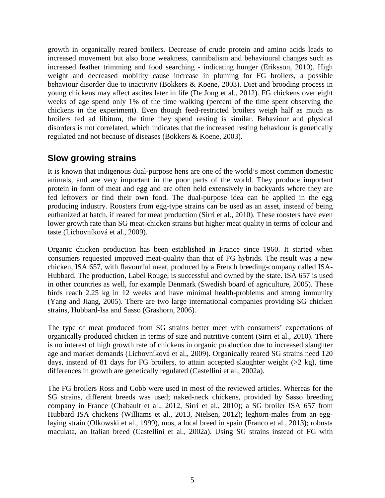growth in organically reared broilers. Decrease of crude protein and amino acids leads to increased movement but also bone weakness, cannibalism and behavioural changes such as increased feather trimming and food searching - indicating hunger (Eriksson, 2010). High weight and decreased mobility cause increase in pluming for FG broilers, a possible behaviour disorder due to inactivity (Bokkers & Koene, 2003). Diet and brooding process in young chickens may affect ascites later in life (De Jong et al., 2012). FG chickens over eight weeks of age spend only 1% of the time walking (percent of the time spent observing the chickens in the experiment). Even though feed-restricted broilers weigh half as much as broilers fed ad libitum, the time they spend resting is similar. Behaviour and physical disorders is not correlated, which indicates that the increased resting behaviour is genetically regulated and not because of diseases (Bokkers & Koene, 2003).

## **Slow growing strains**

It is known that indigenous dual-purpose hens are one of the world's most common domestic animals, and are very important in the poor parts of the world. They produce important protein in form of meat and egg and are often held extensively in backyards where they are fed leftovers or find their own food. The dual-purpose idea can be applied in the egg producing industry. Roosters from egg-type strains can be used as an asset, instead of being euthanized at hatch, if reared for meat production (Sirri et al., 2010). These roosters have even lower growth rate than SG meat-chicken strains but higher meat quality in terms of colour and taste (Lichovníková et al., 2009).

Organic chicken production has been established in France since 1960. It started when consumers requested improved meat-quality than that of FG hybrids. The result was a new chicken, ISA 657, with flavourful meat, produced by a French breeding-company called ISA-Hubbard. The production, Label Rouge, is successful and owned by the state. ISA 657 is used in other countries as well, for example Denmark (Swedish board of agriculture, 2005). These birds reach 2.25 kg in 12 weeks and have minimal health-problems and strong immunity (Yang and Jiang, 2005). There are two large international companies providing SG chicken strains, Hubbard-Isa and Sasso (Grashorn, 2006).

The type of meat produced from SG strains better meet with consumers' expectations of organically produced chicken in terms of size and nutritive content (Sirri et al., 2010). There is no interest of high growth rate of chickens in organic production due to increased slaughter age and market demands (Lichovníková et al., 2009). Organically reared SG strains need 120 days, instead of 81 days for FG broilers, to attain accepted slaughter weight (>2 kg), time differences in growth are genetically regulated (Castellini et al., 2002a).

The FG broilers Ross and Cobb were used in most of the reviewed articles. Whereas for the SG strains, different breeds was used; naked-neck chickens, provided by Sasso breeding company in France (Chabault et al., 2012, Sirri et al., 2010); a SG broiler ISA 657 from Hubbard ISA chickens (Williams et al., 2013, Nielsen, 2012); leghorn-males from an egglaying strain (Olkowski et al., 1999), mos, a local breed in spain (Franco et al., 2013); robusta maculata, an Italian breed (Castellini et al., 2002a). Using SG strains instead of FG with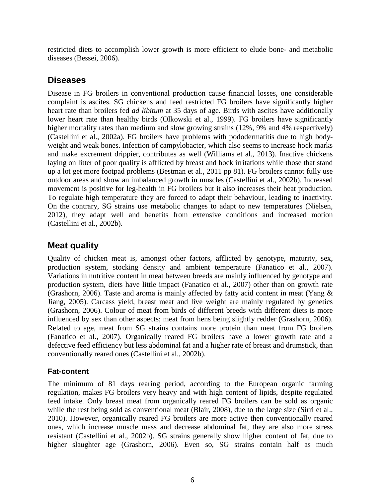restricted diets to accomplish lower growth is more efficient to elude bone- and metabolic diseases (Bessei, 2006).

# **Diseases**

Disease in FG broilers in conventional production cause financial losses, one considerable complaint is ascites. SG chickens and feed restricted FG broilers have significantly higher heart rate than broilers fed *ad libitum* at 35 days of age. Birds with ascites have additionally lower heart rate than healthy birds (Olkowski et al., 1999). FG broilers have significantly higher mortality rates than medium and slow growing strains (12%, 9% and 4% respectively) (Castellini et al., 2002a). FG broilers have problems with pododermatitis due to high bodyweight and weak bones. Infection of campylobacter, which also seems to increase hock marks and make excrement drippier, contributes as well (Williams et al., 2013). Inactive chickens laying on litter of poor quality is afflicted by breast and hock irritations while those that stand up a lot get more footpad problems (Bestman et al., 2011 pp 81). FG broilers cannot fully use outdoor areas and show an imbalanced growth in muscles (Castellini et al., 2002b). Increased movement is positive for leg-health in FG broilers but it also increases their heat production. To regulate high temperature they are forced to adapt their behaviour, leading to inactivity. On the contrary, SG strains use metabolic changes to adapt to new temperatures (Nielsen, 2012), they adapt well and benefits from extensive conditions and increased motion (Castellini et al., 2002b).

## **Meat quality**

Quality of chicken meat is, amongst other factors, afflicted by genotype, maturity, sex, production system, stocking density and ambient temperature (Fanatico et al., 2007). Variations in nutritive content in meat between breeds are mainly influenced by genotype and production system, diets have little impact (Fanatico et al., 2007) other than on growth rate (Grashorn, 2006). Taste and aroma is mainly affected by fatty acid content in meat (Yang & Jiang, 2005). Carcass yield, breast meat and live weight are mainly regulated by genetics (Grashorn, 2006). Colour of meat from birds of different breeds with different diets is more influenced by sex than other aspects; meat from hens being slightly redder (Grashorn, 2006). Related to age, meat from SG strains contains more protein than meat from FG broilers (Fanatico et al., 2007). Organically reared FG broilers have a lower growth rate and a defective feed efficiency but less abdominal fat and a higher rate of breast and drumstick, than conventionally reared ones (Castellini et al., 2002b).

#### **Fat-content**

The minimum of 81 days rearing period, according to the European organic farming regulation, makes FG broilers very heavy and with high content of lipids, despite regulated feed intake. Only breast meat from organically reared FG broilers can be sold as organic while the rest being sold as conventional meat (Blair, 2008), due to the large size (Sirri et al., 2010). However, organically reared FG broilers are more active then conventionally reared ones, which increase muscle mass and decrease abdominal fat, they are also more stress resistant (Castellini et al., 2002b). SG strains generally show higher content of fat, due to higher slaughter age (Grashorn, 2006). Even so, SG strains contain half as much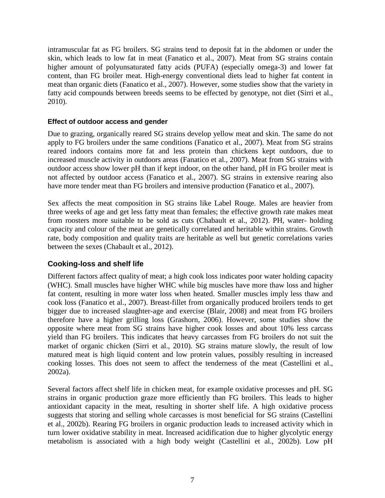intramuscular fat as FG broilers. SG strains tend to deposit fat in the abdomen or under the skin, which leads to low fat in meat (Fanatico et al., 2007). Meat from SG strains contain higher amount of polyunsaturated fatty acids (PUFA) (especially omega-3) and lower fat content, than FG broiler meat. High-energy conventional diets lead to higher fat content in meat than organic diets (Fanatico et al., 2007). However, some studies show that the variety in fatty acid compounds between breeds seems to be effected by genotype, not diet (Sirri et al., 2010).

#### **Effect of outdoor access and gender**

Due to grazing, organically reared SG strains develop yellow meat and skin. The same do not apply to FG broilers under the same conditions (Fanatico et al., 2007). Meat from SG strains reared indoors contains more fat and less protein than chickens kept outdoors, due to increased muscle activity in outdoors areas (Fanatico et al., 2007). Meat from SG strains with outdoor access show lower pH than if kept indoor, on the other hand, pH in FG broiler meat is not affected by outdoor access (Fanatico et al., 2007). SG strains in extensive rearing also have more tender meat than FG broilers and intensive production (Fanatico et al., 2007).

Sex affects the meat composition in SG strains like Label Rouge. Males are heavier from three weeks of age and get less fatty meat than females; the effective growth rate makes meat from roosters more suitable to be sold as cuts (Chabault et al., 2012). PH, water- holding capacity and colour of the meat are genetically correlated and heritable within strains. Growth rate, body composition and quality traits are heritable as well but genetic correlations varies between the sexes (Chabault et al., 2012).

#### **Cooking-loss and shelf life**

Different factors affect quality of meat; a high cook loss indicates poor water holding capacity (WHC). Small muscles have higher WHC while big muscles have more thaw loss and higher fat content, resulting in more water loss when heated. Smaller muscles imply less thaw and cook loss (Fanatico et al., 2007). Breast-fillet from organically produced broilers tends to get bigger due to increased slaughter-age and exercise (Blair, 2008) and meat from FG broilers therefore have a higher grilling loss (Grashorn, 2006). However, some studies show the opposite where meat from SG strains have higher cook losses and about 10% less carcass yield than FG broilers. This indicates that heavy carcasses from FG broilers do not suit the market of organic chicken (Sirri et al., 2010). SG strains mature slowly, the result of low matured meat is high liquid content and low protein values, possibly resulting in increased cooking losses. This does not seem to affect the tenderness of the meat (Castellini et al., 2002a).

Several factors affect shelf life in chicken meat, for example oxidative processes and pH. SG strains in organic production graze more efficiently than FG broilers. This leads to higher antioxidant capacity in the meat, resulting in shorter shelf life. A high oxidative process suggests that storing and selling whole carcasses is most beneficial for SG strains (Castellini et al., 2002b). Rearing FG broilers in organic production leads to increased activity which in turn lower oxidative stability in meat. Increased acidification due to higher glycolytic energy metabolism is associated with a high body weight (Castellini et al., 2002b). Low pH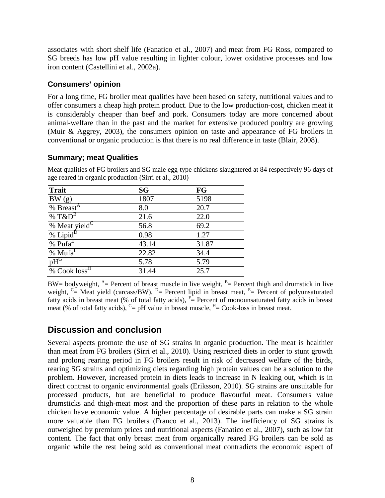associates with short shelf life (Fanatico et al., 2007) and meat from FG Ross, compared to SG breeds has low pH value resulting in lighter colour, lower oxidative processes and low iron content (Castellini et al., 2002a).

#### **Consumers' opinion**

For a long time, FG broiler meat qualities have been based on safety, nutritional values and to offer consumers a cheap high protein product. Due to the low production-cost, chicken meat it is considerably cheaper than beef and pork. Consumers today are more concerned about animal-welfare than in the past and the market for extensive produced poultry are growing (Muir & Aggrey, 2003), the consumers opinion on taste and appearance of FG broilers in conventional or organic production is that there is no real difference in taste (Blair, 2008).

## **Summary; meat Qualities**

Meat qualities of FG broilers and SG male egg-type chickens slaughtered at 84 respectively 96 days of age reared in organic production (Sirri et al., 2010)

| <b>Trait</b>                      | <b>SG</b> | FG    |
|-----------------------------------|-----------|-------|
| BW(g)                             | 1807      | 5198  |
| % Breast <sup>A</sup>             | 8.0       | 20.7  |
| % $T\&D^B$                        | 21.6      | 22.0  |
| % Meat yield <sup>C</sup>         | 56.8      | 69.2  |
| $\frac{96}{2}$ Lipid <sup>D</sup> | 0.98      | 1.27  |
| $\overline{\%}$ Pufa <sup>E</sup> | 43.14     | 31.87 |
| % $MufaF$                         | 22.82     | 34.4  |
| $pH$ <sup>G</sup>                 | 5.78      | 5.79  |
| % Cook loss <sup>H</sup>          | 31.44     | 25.7  |

BW= bodyweight,  $A =$  Percent of breast muscle in live weight,  $B =$  Percent thigh and drumstick in live weight,  $C =$  Meat yield (carcass/BW),  $D =$  Percent lipid in breast meat,  $E =$  Percent of polyunsaturated fatty acids in breast meat (% of total fatty acids),  $F =$  Percent of monounsaturated fatty acids in breast meat (% of total fatty acids),  $G = pH$  value in breast muscle,  $H = Cook-loss$  in breast meat.

# **Discussion and conclusion**

Several aspects promote the use of SG strains in organic production. The meat is healthier than meat from FG broilers (Sirri et al., 2010). Using restricted diets in order to stunt growth and prolong rearing period in FG broilers result in risk of decreased welfare of the birds, rearing SG strains and optimizing diets regarding high protein values can be a solution to the problem. However, increased protein in diets leads to increase in N leaking out, which is in direct contrast to organic environmental goals (Eriksson, 2010). SG strains are unsuitable for processed products, but are beneficial to produce flavourful meat. Consumers value drumsticks and thigh-meat most and the proportion of these parts in relation to the whole chicken have economic value. A higher percentage of desirable parts can make a SG strain more valuable than FG broilers (Franco et al., 2013). The inefficiency of SG strains is outweighed by premium prices and nutritional aspects (Fanatico et al., 2007), such as low fat content. The fact that only breast meat from organically reared FG broilers can be sold as organic while the rest being sold as conventional meat contradicts the economic aspect of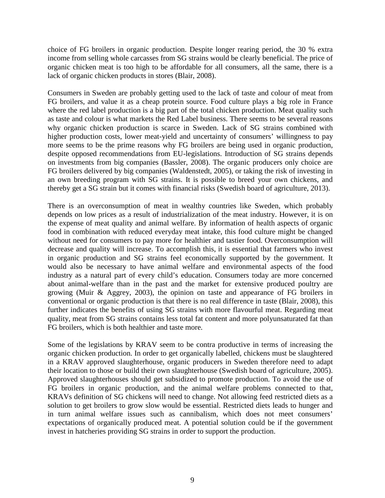choice of FG broilers in organic production. Despite longer rearing period, the 30 % extra income from selling whole carcasses from SG strains would be clearly beneficial. The price of organic chicken meat is too high to be affordable for all consumers, all the same, there is a lack of organic chicken products in stores (Blair, 2008).

Consumers in Sweden are probably getting used to the lack of taste and colour of meat from FG broilers, and value it as a cheap protein source. Food culture plays a big role in France where the red label production is a big part of the total chicken production. Meat quality such as taste and colour is what markets the Red Label business. There seems to be several reasons why organic chicken production is scarce in Sweden. Lack of SG strains combined with higher production costs, lower meat-yield and uncertainty of consumers' willingness to pay more seems to be the prime reasons why FG broilers are being used in organic production, despite opposed recommendations from EU-legislations. Introduction of SG strains depends on investments from big companies (Bassler, 2008). The organic producers only choice are FG broilers delivered by big companies (Waldenstedt, 2005), or taking the risk of investing in an own breeding program with SG strains. It is possible to breed your own chickens, and thereby get a SG strain but it comes with financial risks (Swedish board of agriculture, 2013).

There is an overconsumption of meat in wealthy countries like Sweden, which probably depends on low prices as a result of industrialization of the meat industry. However, it is on the expense of meat quality and animal welfare. By information of health aspects of organic food in combination with reduced everyday meat intake, this food culture might be changed without need for consumers to pay more for healthier and tastier food. Overconsumption will decrease and quality will increase. To accomplish this, it is essential that farmers who invest in organic production and SG strains feel economically supported by the government. It would also be necessary to have animal welfare and environmental aspects of the food industry as a natural part of every child's education. Consumers today are more concerned about animal-welfare than in the past and the market for extensive produced poultry are growing (Muir & Aggrey, 2003), the opinion on taste and appearance of FG broilers in conventional or organic production is that there is no real difference in taste (Blair, 2008), this further indicates the benefits of using SG strains with more flavourful meat. Regarding meat quality, meat from SG strains contains less total fat content and more polyunsaturated fat than FG broilers, which is both healthier and taste more.

Some of the legislations by KRAV seem to be contra productive in terms of increasing the organic chicken production. In order to get organically labelled, chickens must be slaughtered in a KRAV approved slaughterhouse, organic producers in Sweden therefore need to adapt their location to those or build their own slaughterhouse (Swedish board of agriculture, 2005). Approved slaughterhouses should get subsidized to promote production. To avoid the use of FG broilers in organic production, and the animal welfare problems connected to that, KRAVs definition of SG chickens will need to change. Not allowing feed restricted diets as a solution to get broilers to grow slow would be essential. Restricted diets leads to hunger and in turn animal welfare issues such as cannibalism, which does not meet consumers' expectations of organically produced meat. A potential solution could be if the government invest in hatcheries providing SG strains in order to support the production.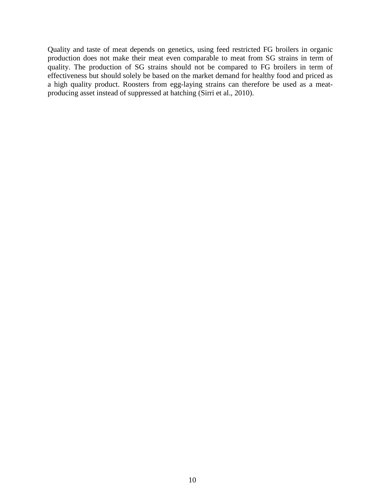Quality and taste of meat depends on genetics, using feed restricted FG broilers in organic production does not make their meat even comparable to meat from SG strains in term of quality. The production of SG strains should not be compared to FG broilers in term of effectiveness but should solely be based on the market demand for healthy food and priced as a high quality product. Roosters from egg-laying strains can therefore be used as a meatproducing asset instead of suppressed at hatching (Sirri et al., 2010).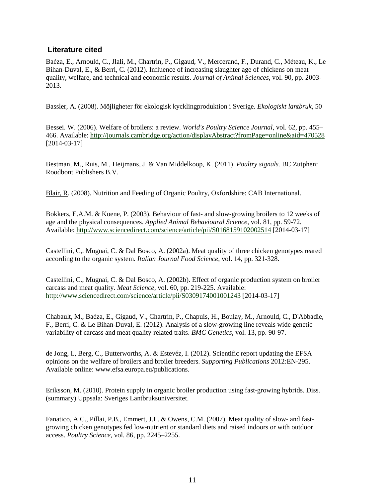#### **Literature cited**

Baéza, E., Arnould, C., Jlali, M., Chartrin, P., Gigaud, V., Mercerand, F., Durand, C., Méteau, K., Le Bihan-Duval, E., & Berri, C. (2012). Influence of increasing slaughter age of chickens on meat quality, welfare, and technical and economic results. *Journal of Animal Sciences*, vol. 90, pp. 2003- 2013.

Bassler, A. (2008). Möjligheter för ekologisk kycklingproduktion i Sverige. *Ekologiskt lantbruk*, 50

Bessei. W. (2006). Welfare of broilers: a review. *World's Poultry Science Journal*, vol. 62, pp. 455– 466. Available:<http://journals.cambridge.org/action/displayAbstract?fromPage=online&aid=470528> [2014-03-17]

Bestman, M., Ruis, M., Heijmans, J. & Van Middelkoop, K. (2011). *Poultry signals.* BC Zutphen: Roodbont Publishers B.V.

[Blair, R.](http://www.tandfonline.com/action/doSearch?Contrib=) (2008). Nutrition and Feeding of Organic Poultry, Oxfordshire: CAB International.

Bokkers, E.A.M. & Koene, P. (2003). Behaviour of fast- and slow-growing broilers to 12 weeks of age and the physical consequences. *Applied Animal Behavioural Science,* vol. 81, pp. 59-72*.*  Available:<http://www.sciencedirect.com/science/article/pii/S0168159102002514> [2014-03-17]

Castellini, C,. Mugnai, C. & Dal Bosco, A. (2002a). Meat quality of three chicken genotypes reared according to the organic system. *Italian Journal Food Science*, vol. 14, pp. 321-328.

Castellini, C., Mugnai, C. & Dal Bosco, A. (2002b). Effect of organic production system on broiler carcass and meat quality*. Meat Science*, vol. 60, pp. 219-225. Available: <http://www.sciencedirect.com/science/article/pii/S0309174001001243> [2014-03-17]

Chabault, M., Baéza, E., Gigaud, V., Chartrin, P., Chapuis, H., Boulay, M., Arnould, C., D'Abbadie, F., Berri, C. & Le Bihan-Duval, E. (2012). Analysis of a slow-growing line reveals wide genetic variability of carcass and meat quality-related traits. *BMC Genetics*, vol. 13, pp. 90-97.

de Jong, I., Berg, C., Butterworths, A. & Estevéz, I. (2012). Scientific report updating the EFSA opinions on the welfare of broilers and broiler breeders. *Supporting Publications* 2012:EN-295. Available online: www.efsa.europa.eu/publications.

Eriksson, M. (2010). Protein supply in organic broiler production using fast-growing hybrids*.* Diss. (summary) Uppsala: Sveriges Lantbruksuniversitet.

Fanatico, A.C., Pillai, P.B., Emmert, J.L. & Owens, C.M. (2007). Meat quality of slow- and fastgrowing chicken genotypes fed low-nutrient or standard diets and raised indoors or with outdoor access. *Poultry Science*, vol. 86, pp. 2245–2255.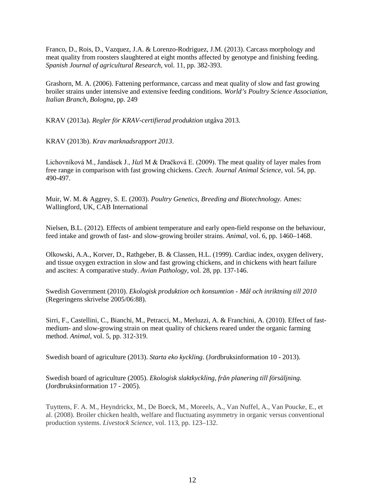Franco, D., Rois, D., Vazquez, J.A. & Lorenzo-Rodriguez, J.M. (2013). Carcass morphology and meat quality from roosters slaughtered at eight months affected by genotype and finishing feeding. *Spanish Journal of agricultural Research,* vol. 11, pp. 382-393.

Grashorn, M. A. (2006). Fattening performance, carcass and meat quality of slow and fast growing broiler strains under intensive and extensive feeding conditions. *World's Poultry Science Association, Italian Branch, Bologna,* pp. 249

KRAV (2013a). *Regler för KRAV-certifierad produktion* utgåva 2013.

KRAV (2013b). *Krav marknadsrapport 2013*.

Lichovníková M., Jandásek J., Jůzl M & Dračková E. (2009). The meat quality of layer males from free range in comparison with fast growing chickens. *Czech. Journal Animal Science,* vol. 54, pp. 490-497.

Muir, W. M. & Aggrey, S. E. (2003). *Poultry Genetics, Breeding and Biotechnology.* Ames: Wallingford, UK, CAB International

Nielsen, B.L. (2012). Effects of ambient temperature and early open-field response on the behaviour, feed intake and growth of fast- and slow-growing broiler strains. *Animal,* vol. 6, pp. 1460–1468.

Olkowski, A.A., Korver, D., Rathgeber, B. & Classen, H.L. (1999). Cardiac index, oxygen delivery, and tissue oxygen extraction in slow and fast growing chickens, and in chickens with heart failure and ascites: A comparative study. *Avian Pathology*, vol. 28, pp. 137-146.

Swedish Government (2010). *Ekologisk produktion och konsumtion - Mål och inriktning till 2010* (Regeringens skrivelse 2005/06:88).

Sirri, F., Castellini, C., Bianchi, M., Petracci, M., Merluzzi, A. & Franchini, A. (2010). Effect of fastmedium- and slow-growing strain on meat quality of chickens reared under the organic farming method. *Animal*, vol. 5, pp. 312-319.

Swedish board of agriculture (2013). *Starta eko kyckling*. (Jordbruksinformation 10 - 2013).

Swedish board of agriculture (2005). *Ekologisk slaktkyckling, från planering till försäljning.*  (Jordbruksinformation 17 - 2005).

Tuyttens, F. A. M., Heyndrickx, M., De Boeck, M., Moreels, A., Van Nuffel, A., Van Poucke, E., et al. (2008). Broiler chicken health, welfare and fluctuating asymmetry in organic versus conventional production systems. *Livestock Science,* vol. 113, pp. 123–132.